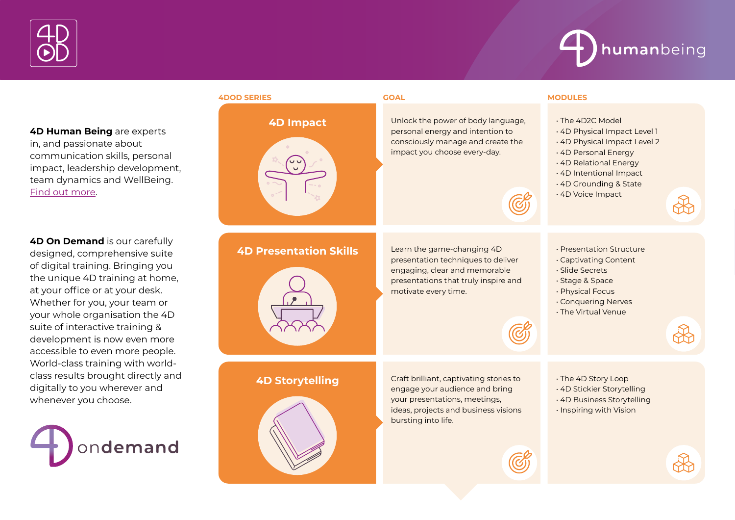



**4D Human Being** are experts in, and passionate about communication skills, personal impact, leadership development, team dynamics and WellBeing. Find out more.

**4D On Demand** is our carefully designed, comprehensive suite of digital training. Bringing you the unique 4D training at home, at your office or at your desk. Whether for you, your team or your whole organisation the 4D suite of interactive training & development is now even more accessible to even more people. World-class training with worldclass results brought directly and digitally to you wherever and whenever you choose.



### **4DOD SERIES GOAL MODULES**





## **4D Storytelling** Craft brilliant, captivating stories to engage your audience and bring



**4D Impact** Unlock the power of body language,<br>personal energy and intention to consciously manage and create the impact you choose every-day.

- The 4D2C Model
- 4D Physical Impact Level 1
- 4D Physical Impact Level 2
- 4D Personal Energy
- 4D Relational Energy
- 4D Intentional Impact
- 4D Grounding & State
- 4D Voice Impact

**4D Presentation Skills** Learn the game-changing 4D presentation techniques to deliver engaging, clear and memorable presentations that truly inspire and motivate every time.

> your presentations, meetings, ideas, projects and business visions

bursting into life.

- Presentation Structure
- Captivating Content
- Slide Secrets
- Stage & Space
- Physical Focus
- Conquering Nerves
- The Virtual Venue

- The 4D Story Loop
- 4D Stickier Storytelling
- 4D Business Storytelling
- Inspiring with Vision